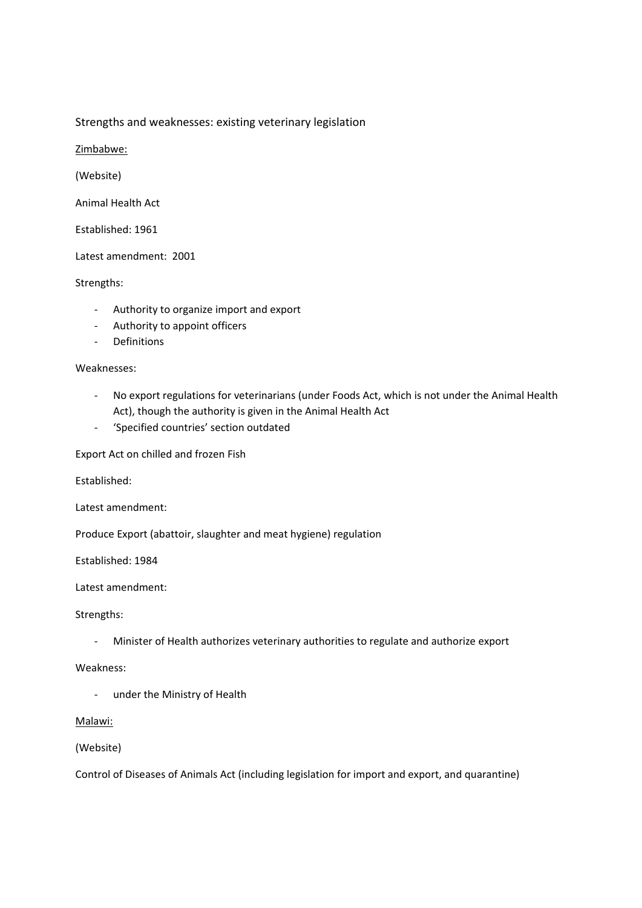#### Strengths and weaknesses: existing veterinary legislation

Zimbabwe:

(Website)

Animal Health Act

Established: 1961

Latest amendment: 2001

#### Strengths:

- Authority to organize import and export
- Authority to appoint officers
- Definitions

### Weaknesses:

- No export regulations for veterinarians (under Foods Act, which is not under the Animal Health Act), though the authority is given in the Animal Health Act
- 'Specified countries' section outdated

Export Act on chilled and frozen Fish

Established:

Latest amendment:

Produce Export (abattoir, slaughter and meat hygiene) regulation

Established: 1984

Latest amendment:

#### Strengths:

- Minister of Health authorizes veterinary authorities to regulate and authorize export

#### Weakness:

- under the Ministry of Health

#### Malawi:

#### (Website)

Control of Diseases of Animals Act (including legislation for import and export, and quarantine)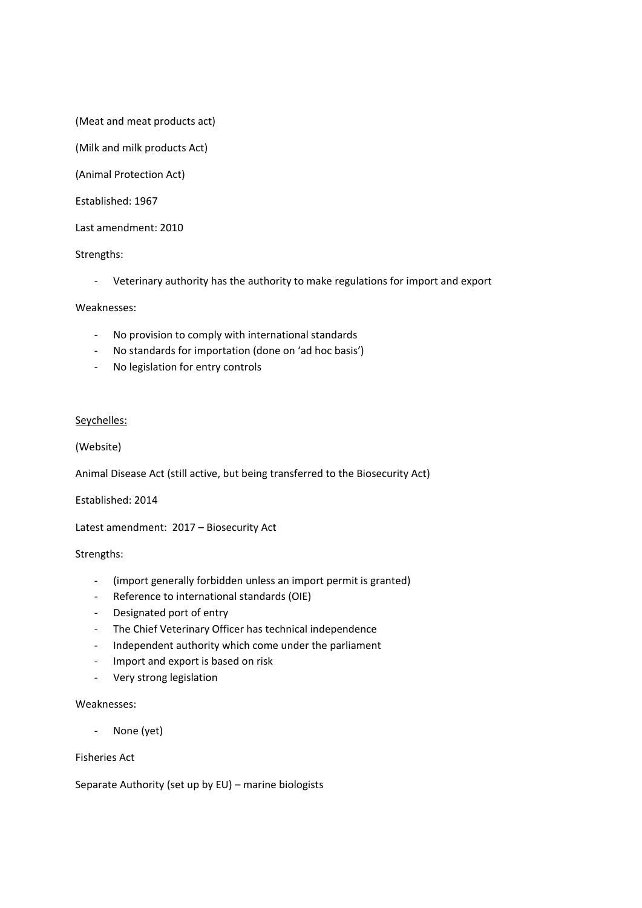(Meat and meat products act)

(Milk and milk products Act)

(Animal Protection Act)

Established: 1967

Last amendment: 2010

#### Strengths:

- Veterinary authority has the authority to make regulations for import and export

#### Weaknesses:

- No provision to comply with international standards
- No standards for importation (done on 'ad hoc basis')
- No legislation for entry controls

#### Seychelles:

#### (Website)

Animal Disease Act (still active, but being transferred to the Biosecurity Act)

Established: 2014

Latest amendment: 2017 – Biosecurity Act

#### Strengths:

- (import generally forbidden unless an import permit is granted)
- Reference to international standards (OIE)
- Designated port of entry
- The Chief Veterinary Officer has technical independence
- Independent authority which come under the parliament
- Import and export is based on risk
- Very strong legislation

#### Weaknesses:

None (yet)

#### Fisheries Act

Separate Authority (set up by EU) – marine biologists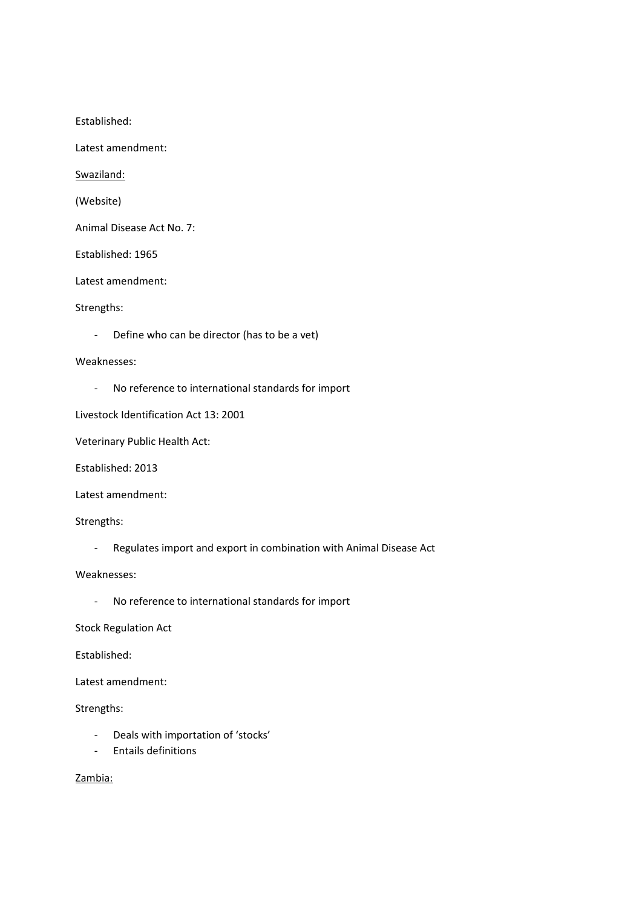Established:

Latest amendment:

Swaziland:

(Website)

Animal Disease Act No. 7:

Established: 1965

Latest amendment:

#### Strengths:

- Define who can be director (has to be a vet)

#### Weaknesses:

- No reference to international standards for import

Livestock Identification Act 13: 2001

Veterinary Public Health Act:

Established: 2013

Latest amendment:

Strengths:

- Regulates import and export in combination with Animal Disease Act

Weaknesses:

- No reference to international standards for import

Stock Regulation Act

Established:

Latest amendment:

Strengths:

- Deals with importation of 'stocks'
- Entails definitions

Zambia: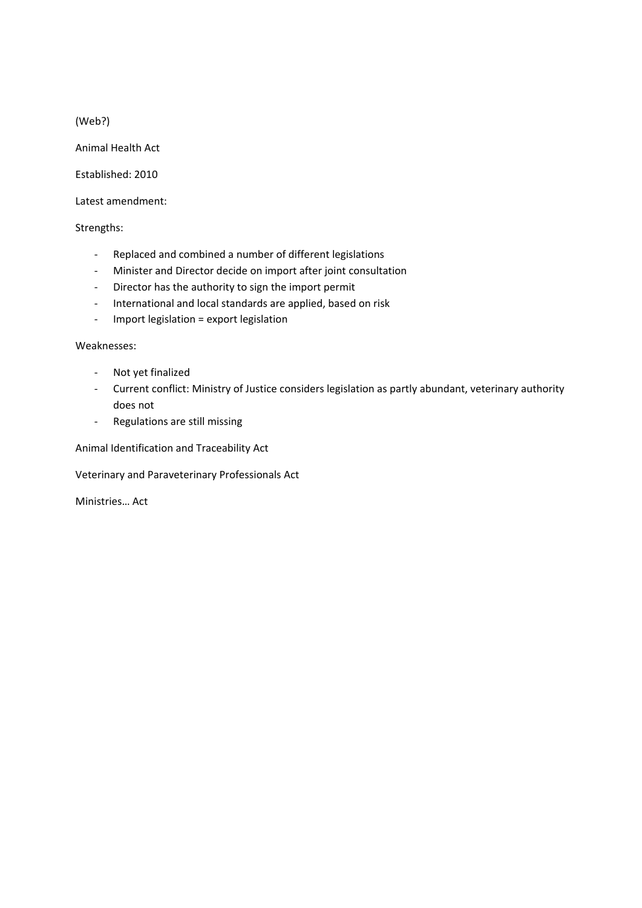(Web?)

Animal Health Act

Established: 2010

Latest amendment:

Strengths:

- Replaced and combined a number of different legislations
- Minister and Director decide on import after joint consultation
- Director has the authority to sign the import permit
- International and local standards are applied, based on risk
- Import legislation = export legislation

Weaknesses:

- Not yet finalized
- Current conflict: Ministry of Justice considers legislation as partly abundant, veterinary authority does not
- Regulations are still missing

Animal Identification and Traceability Act

Veterinary and Paraveterinary Professionals Act

Ministries… Act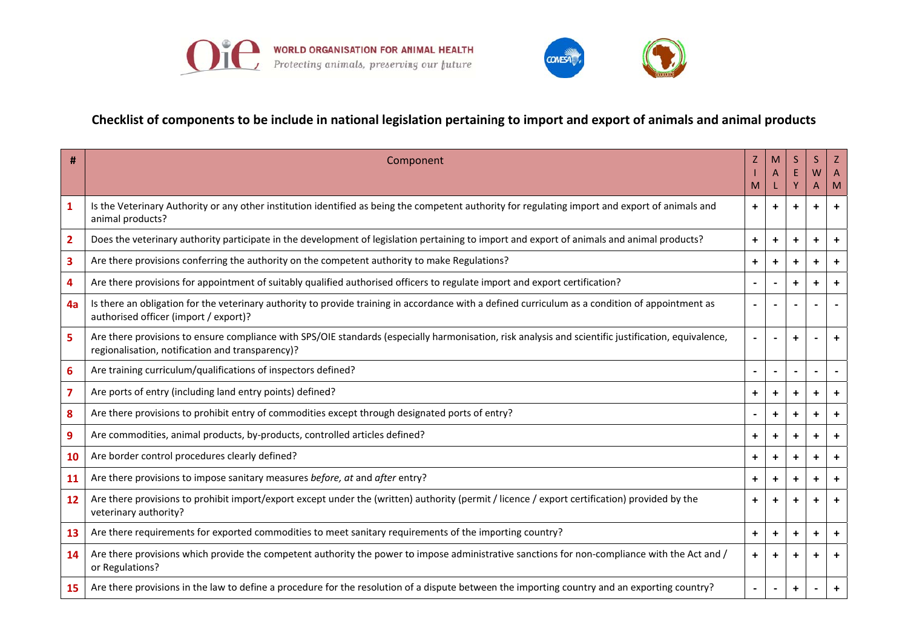



### Checklist of components to be include in national legislation pertaining to import and export of animals and animal products

| #                       | Component                                                                                                                                                                                                |            |                      |                          | S.<br>W                  |           |
|-------------------------|----------------------------------------------------------------------------------------------------------------------------------------------------------------------------------------------------------|------------|----------------------|--------------------------|--------------------------|-----------|
|                         |                                                                                                                                                                                                          |            |                      | Y                        | A                        | M         |
| 1                       | Is the Veterinary Authority or any other institution identified as being the competent authority for regulating import and export of animals and<br>animal products?                                     | $+$        | $\ddot{}$            | $\ddot{}$                | $\ddot{}$                | $\ddot{}$ |
| $\overline{2}$          | Does the veterinary authority participate in the development of legislation pertaining to import and export of animals and animal products?                                                              | $\ddot{}$  | $\ddot{}$            | $\ddot{}$                | $\ddot{}$                | $\ddot{}$ |
| $\overline{\mathbf{3}}$ | Are there provisions conferring the authority on the competent authority to make Regulations?                                                                                                            | $\ddot{}$  | $\ddot{\phantom{1}}$ | $\ddot{}$                | $\ddot{}$                | $\ddot{}$ |
| 4                       | Are there provisions for appointment of suitably qualified authorised officers to regulate import and export certification?                                                                              |            |                      | ٠                        | $\ddot{}$                | $\ddot{}$ |
| 4a                      | Is there an obligation for the veterinary authority to provide training in accordance with a defined curriculum as a condition of appointment as<br>authorised officer (import / export)?                |            |                      |                          |                          |           |
| 5                       | Are there provisions to ensure compliance with SPS/OIE standards (especially harmonisation, risk analysis and scientific justification, equivalence,<br>regionalisation, notification and transparency)? |            |                      |                          |                          | ÷.        |
| $6\phantom{1}6$         | Are training curriculum/qualifications of inspectors defined?                                                                                                                                            |            |                      | $\overline{\phantom{a}}$ | $\overline{\phantom{a}}$ |           |
| $\overline{\mathbf{z}}$ | Are ports of entry (including land entry points) defined?                                                                                                                                                | $\ddot{}$  | $\ddot{}$            | ٠                        | $\ddot{}$                | $\ddot{}$ |
| 8                       | Are there provisions to prohibit entry of commodities except through designated ports of entry?                                                                                                          |            | $\ddot{}$            | $\ddot{}$                | $\ddot{}$                | $\ddot{}$ |
| 9                       | Are commodities, animal products, by-products, controlled articles defined?                                                                                                                              | $\ddot{}$  | +                    | $\ddot{}$                | $\ddot{}$                | $\ddot{}$ |
| <b>10</b>               | Are border control procedures clearly defined?                                                                                                                                                           | $\ddot{+}$ | $\ddot{}$            | $\ddot{}$                | $\ddot{}$                | $\pm$     |
| 11                      | Are there provisions to impose sanitary measures before, at and after entry?                                                                                                                             | $\ddot{}$  | $\ddot{}$            | $\ddot{}$                | $\ddot{}$                | $\ddot{}$ |
| 12                      | Are there provisions to prohibit import/export except under the (written) authority (permit / licence / export certification) provided by the<br>veterinary authority?                                   | $\ddot{+}$ | $\ddot{}$            | ٠                        | $\ddot{}$                | ÷.        |
| 13                      | Are there requirements for exported commodities to meet sanitary requirements of the importing country?                                                                                                  | $\ddot{}$  | $+$                  | $\ddot{}$                | $\ddot{}$                | $+$       |
| 14                      | Are there provisions which provide the competent authority the power to impose administrative sanctions for non-compliance with the Act and /<br>or Regulations?                                         | $\ddot{}$  | $\ddot{}$            | $\ddot{}$                | +                        | ٠         |
| 15                      | Are there provisions in the law to define a procedure for the resolution of a dispute between the importing country and an exporting country?                                                            |            |                      | $\ddot{}$                |                          | ÷.        |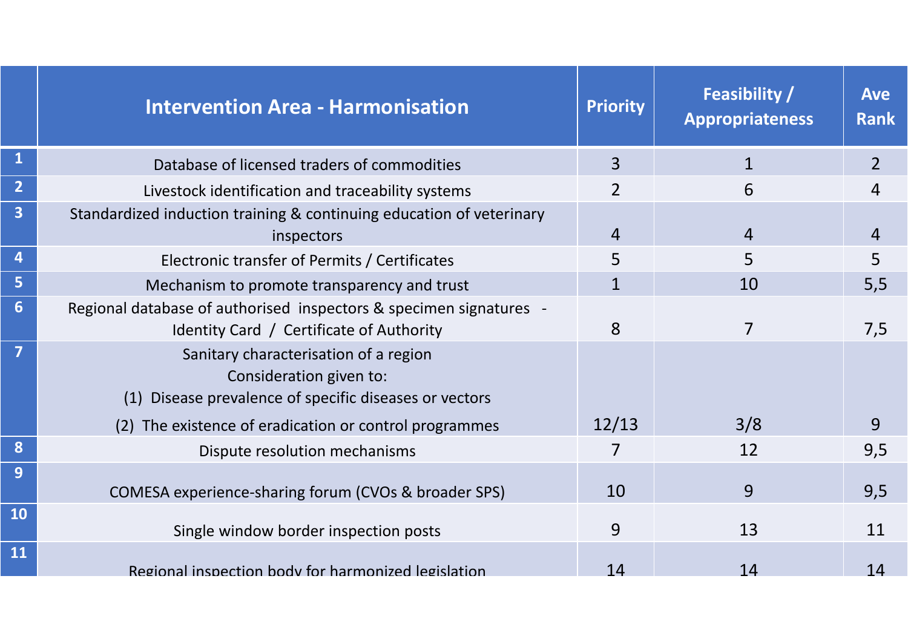|                         | <b>Intervention Area - Harmonisation</b>                                                                                      | <b>Priority</b> | <b>Feasibility /</b><br><b>Appropriateness</b> | <b>Ave</b><br><b>Rank</b> |
|-------------------------|-------------------------------------------------------------------------------------------------------------------------------|-----------------|------------------------------------------------|---------------------------|
|                         | Database of licensed traders of commodities                                                                                   | $\overline{3}$  |                                                | $\overline{2}$            |
| $\overline{2}$          | Livestock identification and traceability systems                                                                             | $\overline{2}$  | 6                                              | 4                         |
| $\overline{\mathbf{3}}$ | Standardized induction training & continuing education of veterinary<br>inspectors                                            | $\overline{4}$  | $\overline{4}$                                 | 4                         |
|                         | Electronic transfer of Permits / Certificates                                                                                 | 5               | 5                                              | 5                         |
| 5                       | Mechanism to promote transparency and trust                                                                                   | $\mathbf{1}$    | 10                                             | 5,5                       |
| $6\phantom{1}$          | Regional database of authorised inspectors & specimen signatures -<br>Identity Card / Certificate of Authority                | 8               | $\overline{7}$                                 | 7,5                       |
| $\overline{7}$          | Sanitary characterisation of a region<br>Consideration given to:<br>Disease prevalence of specific diseases or vectors<br>(1) |                 |                                                |                           |
|                         | The existence of eradication or control programmes<br>(2)                                                                     | 12/13           | 3/8                                            | 9                         |
| 8                       | Dispute resolution mechanisms                                                                                                 | 7               | 12                                             | 9,5                       |
| 9                       | COMESA experience-sharing forum (CVOs & broader SPS)                                                                          | 10              | 9                                              | 9,5                       |
| <b>10</b>               | Single window border inspection posts                                                                                         | 9               | 13                                             | 11                        |
| 11                      | Regional inspection body for harmonized legislation                                                                           | 14              | 14                                             | 14                        |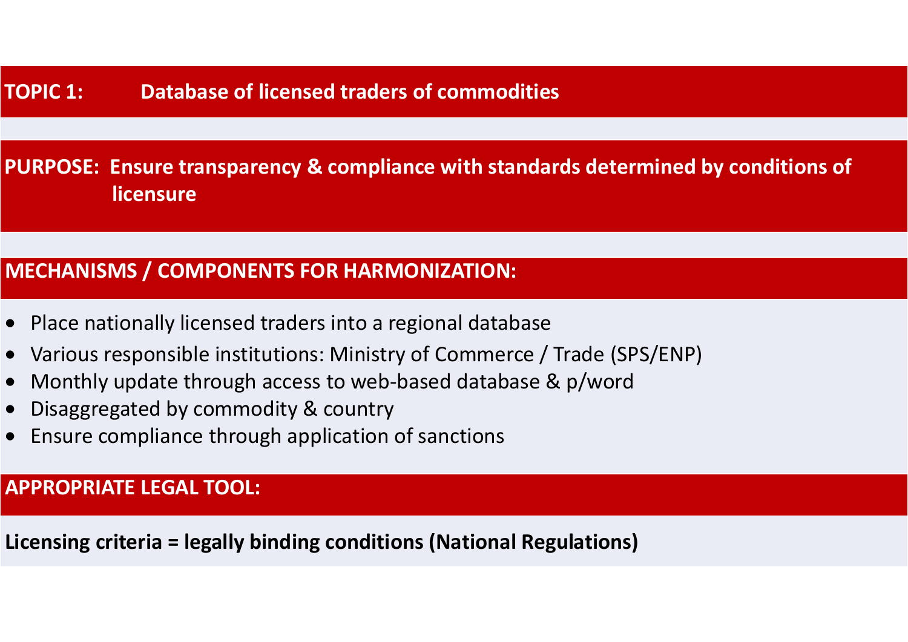**PURPOSE: Ensure transparency & compliance with standards determined by conditions of licensure**

## **MECHANISMS / COMPONENTS FOR HARMONIZATION:**

- $\bullet$ Place nationally licensed traders into a regional database
- •Various responsible institutions: Ministry of Commerce / Trade (SPS/ENP)
- $\bullet$ Monthly update through access to web-based database & p/word
- •Disaggregated by commodity & country
- •Ensure compliance through application of sanctions

**APPROPRIATE LEGAL TOOL:**

**Licensing criteria = legally binding conditions (National Regulations)**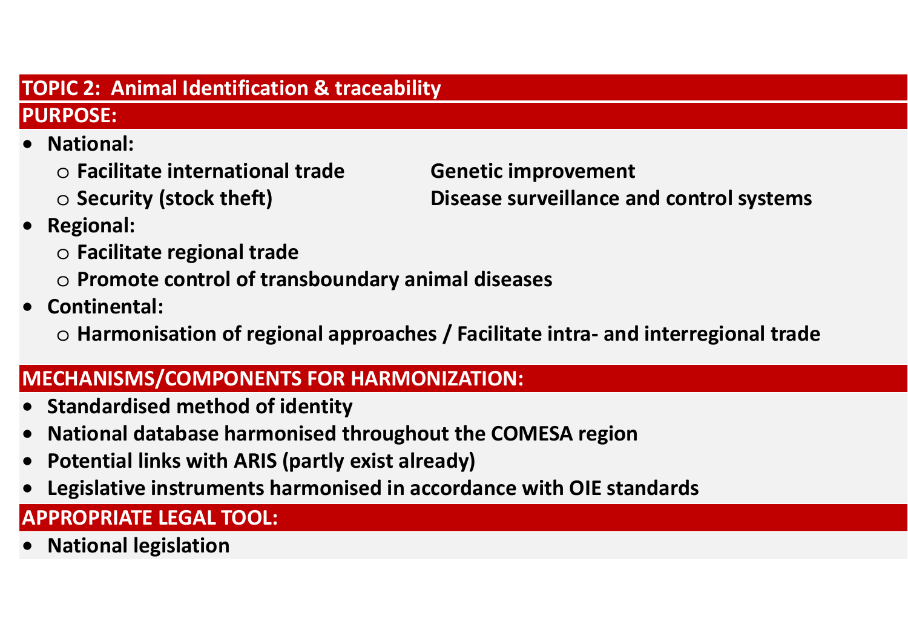## **TOPIC 2: Animal Identification & traceability**

## **PURPOSE:**

- • **National:**
	- o **Facilitate international trade Genetic improvement**
	- $\circ$  Security (stock theft)

**Disease surveillance and control systems** 

- • **Regional:**
	- o **Facilitate regional trade**
	- o **Promote control of transboundary animal diseases**
- • **Continental:**
	- o **Harmonisation of regional approaches / Facilitate intra- and interregional trade**

# **MECHANISMS/COMPONENTS FOR HARMONIZATION:**

- •**Standardised method of identity**
- •**National database harmonised throughout the COMESA region**
- •**Potential links with ARIS (partly exist already)**
- •**Legislative instruments harmonised in accordance with OIE standards**

# **APPROPRIATE LEGAL TOOL:**

 $\bullet$ **National legislation**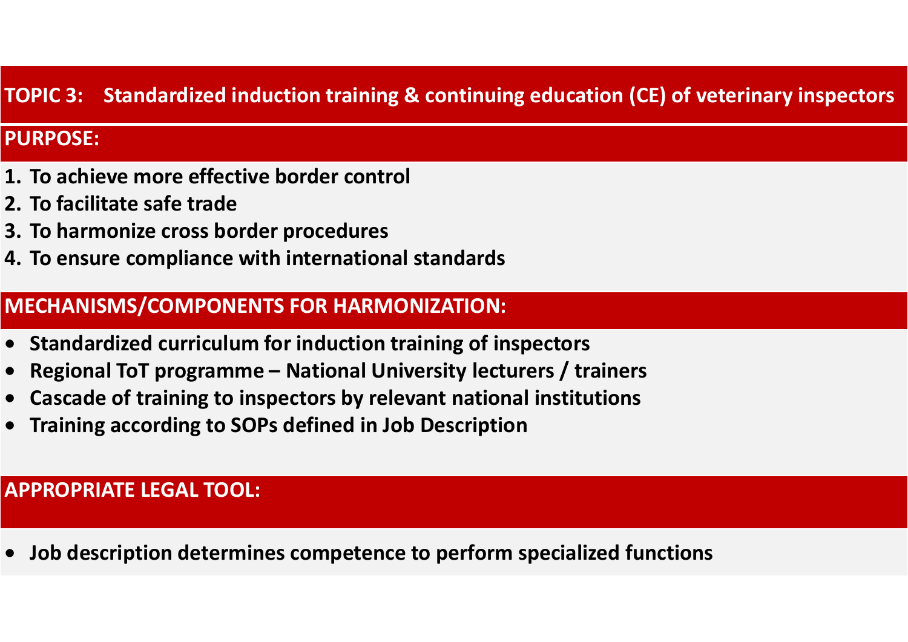## **TOPIC 3: Standardized induction training & continuing education (CE) of veterinary inspectors**

### **PURPOSE:**

- **1. To achieve more effective border control**
- **2. To facilitate safe trade**
- **3. To harmonize cross border procedures**
- **4. To ensure compliance with international standards**

### **MECHANISMS/COMPONENTS FOR HARMONIZATION:**

- **Standardized curriculum for induction training of inspectors**
- •**Regional ToT programme – National University lecturers / trainers**
- •**Cascade of training to inspectors by relevant national institutions**
- •**Training according to SOPs defined in Job Description**

### **APPROPRIATE LEGAL TOOL:**

•**Job description determines competence to perform specialized functions**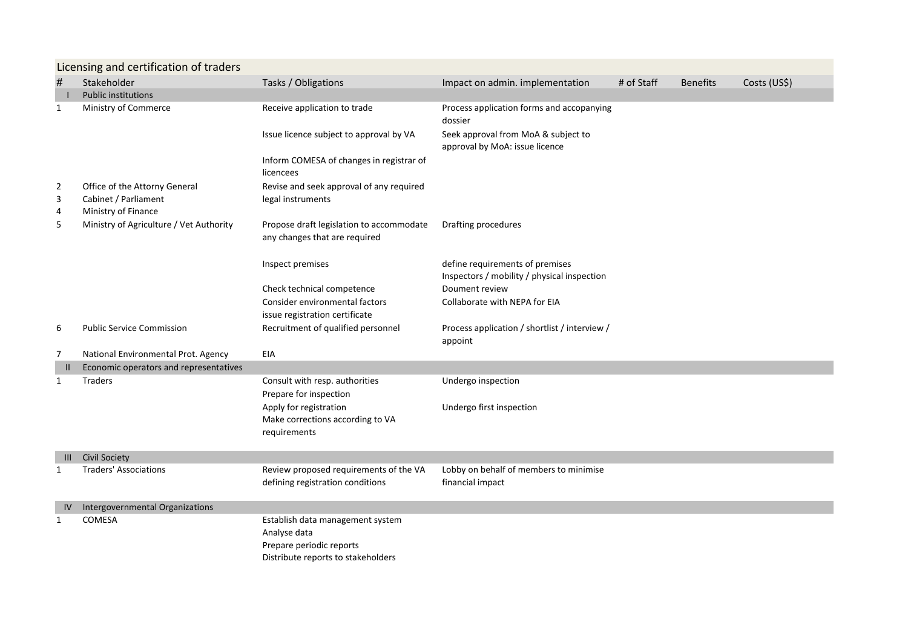|                | Licensing and certification of traders      |                                                                           |                                                                                |            |                 |              |  |  |
|----------------|---------------------------------------------|---------------------------------------------------------------------------|--------------------------------------------------------------------------------|------------|-----------------|--------------|--|--|
| $\#$           | Stakeholder                                 | Tasks / Obligations                                                       | Impact on admin. implementation                                                | # of Staff | <b>Benefits</b> | Costs (US\$) |  |  |
|                | <b>Public institutions</b>                  |                                                                           |                                                                                |            |                 |              |  |  |
| 1              | Ministry of Commerce                        | Receive application to trade                                              | Process application forms and accopanying<br>dossier                           |            |                 |              |  |  |
|                |                                             | Issue licence subject to approval by VA                                   | Seek approval from MoA & subject to<br>approval by MoA: issue licence          |            |                 |              |  |  |
|                |                                             | Inform COMESA of changes in registrar of<br>licencees                     |                                                                                |            |                 |              |  |  |
| $\overline{2}$ | Office of the Attorny General               | Revise and seek approval of any required                                  |                                                                                |            |                 |              |  |  |
| 3<br>4         | Cabinet / Parliament<br>Ministry of Finance | legal instruments                                                         |                                                                                |            |                 |              |  |  |
| 5              | Ministry of Agriculture / Vet Authority     | Propose draft legislation to accommodate<br>any changes that are required | Drafting procedures                                                            |            |                 |              |  |  |
|                |                                             | Inspect premises                                                          | define requirements of premises<br>Inspectors / mobility / physical inspection |            |                 |              |  |  |
|                |                                             | Check technical competence                                                | Doument review                                                                 |            |                 |              |  |  |
|                |                                             | <b>Consider environmental factors</b>                                     | Collaborate with NEPA for EIA                                                  |            |                 |              |  |  |
|                |                                             | issue registration certificate                                            |                                                                                |            |                 |              |  |  |
| 6              | <b>Public Service Commission</b>            | Recruitment of qualified personnel                                        | Process application / shortlist / interview /<br>appoint                       |            |                 |              |  |  |
| 7              | National Environmental Prot. Agency         | EIA                                                                       |                                                                                |            |                 |              |  |  |
| $\mathbf{I}$   | Economic operators and representatives      |                                                                           |                                                                                |            |                 |              |  |  |
| 1              | <b>Traders</b>                              | Consult with resp. authorities                                            | Undergo inspection                                                             |            |                 |              |  |  |
|                |                                             | Prepare for inspection                                                    |                                                                                |            |                 |              |  |  |
|                |                                             | Apply for registration                                                    | Undergo first inspection                                                       |            |                 |              |  |  |
|                |                                             | Make corrections according to VA<br>requirements                          |                                                                                |            |                 |              |  |  |
|                |                                             |                                                                           |                                                                                |            |                 |              |  |  |
| Ш              | <b>Civil Society</b>                        |                                                                           |                                                                                |            |                 |              |  |  |
| 1              | <b>Traders' Associations</b>                | Review proposed requirements of the VA                                    | Lobby on behalf of members to minimise                                         |            |                 |              |  |  |
|                |                                             | defining registration conditions                                          | financial impact                                                               |            |                 |              |  |  |
| IV.            | Intergovernmental Organizations             |                                                                           |                                                                                |            |                 |              |  |  |
| 1              | COMESA                                      | Establish data management system                                          |                                                                                |            |                 |              |  |  |
|                |                                             | Analyse data                                                              |                                                                                |            |                 |              |  |  |
|                |                                             | Prepare periodic reports                                                  |                                                                                |            |                 |              |  |  |
|                |                                             | Distribute reports to stakeholders                                        |                                                                                |            |                 |              |  |  |